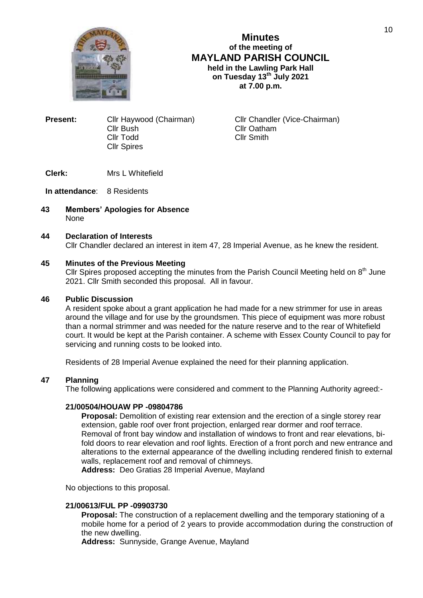

**Minutes of the meeting of MAYLAND PARISH COUNCIL held in the Lawling Park Hall on Tuesday 13th July 2021 at 7.00 p.m.**

**Present:** Cllr Haywood (Chairman) Cllr Chandler (Vice-Chairman) Cllr Bush Cllr Oatham<br>Cllr Todd Cllr Smith **Cllr Spires** 

Cllr Smith

**Clerk:** Mrs L Whitefield

## **In attendance**: 8 Residents

**43 Members' Apologies for Absence** None

### **44 Declaration of Interests**

Cllr Chandler declared an interest in item 47, 28 Imperial Avenue, as he knew the resident.

## **45 Minutes of the Previous Meeting**

Cllr Spires proposed accepting the minutes from the Parish Council Meeting held on  $8<sup>th</sup>$  June 2021. Cllr Smith seconded this proposal. All in favour.

### **46 Public Discussion**

A resident spoke about a grant application he had made for a new strimmer for use in areas around the village and for use by the groundsmen. This piece of equipment was more robust than a normal strimmer and was needed for the nature reserve and to the rear of Whitefield court. It would be kept at the Parish container. A scheme with Essex County Council to pay for servicing and running costs to be looked into.

Residents of 28 Imperial Avenue explained the need for their planning application.

# **47 Planning**

The following applications were considered and comment to the Planning Authority agreed:-

### **21/00504/HOUAW PP -09804786**

**Proposal:** Demolition of existing rear extension and the erection of a single storey rear extension, gable roof over front projection, enlarged rear dormer and roof terrace. Removal of front bay window and installation of windows to front and rear elevations, bifold doors to rear elevation and roof lights. Erection of a front porch and new entrance and alterations to the external appearance of the dwelling including rendered finish to external walls, replacement roof and removal of chimneys.

**Address:** Deo Gratias 28 Imperial Avenue, Mayland

No objections to this proposal.

### **21/00613/FUL PP -09903730**

**Proposal:** The construction of a replacement dwelling and the temporary stationing of a mobile home for a period of 2 years to provide accommodation during the construction of the new dwelling.

**Address:** Sunnyside, Grange Avenue, Mayland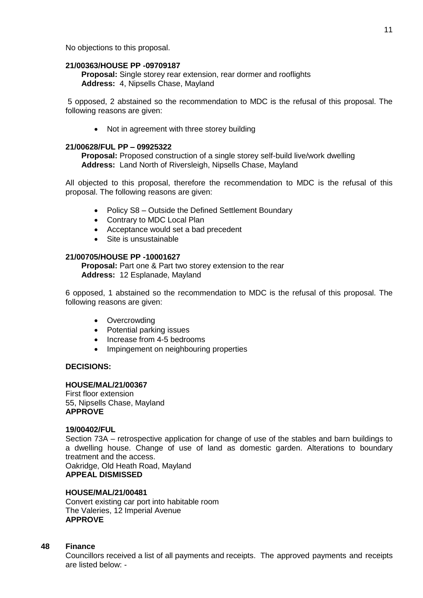No objections to this proposal.

### **21/00363/HOUSE PP -09709187**

**Proposal:** Single storey rear extension, rear dormer and rooflights **Address:** 4, Nipsells Chase, Mayland

5 opposed, 2 abstained so the recommendation to MDC is the refusal of this proposal. The following reasons are given:

• Not in agreement with three storey building

## **21/00628/FUL PP – 09925322**

**Proposal:** Proposed construction of a single storey self-build live/work dwelling **Address:** Land North of Riversleigh, Nipsells Chase, Mayland

All objected to this proposal, therefore the recommendation to MDC is the refusal of this proposal. The following reasons are given:

- Policy S8 Outside the Defined Settlement Boundary
- Contrary to MDC Local Plan
- Acceptance would set a bad precedent
- Site is unsustainable

## **21/00705/HOUSE PP -10001627**

**Proposal:** Part one & Part two storey extension to the rear **Address:** 12 Esplanade, Mayland

6 opposed, 1 abstained so the recommendation to MDC is the refusal of this proposal. The following reasons are given:

- Overcrowding
- Potential parking issues
- Increase from 4-5 bedrooms
- Impingement on neighbouring properties

# **DECISIONS:**

### **HOUSE/MAL/21/00367**

First floor extension 55, Nipsells Chase, Mayland **APPROVE**

### **19/00402/FUL**

Section 73A – retrospective application for change of use of the stables and barn buildings to a dwelling house. Change of use of land as domestic garden. Alterations to boundary treatment and the access.

Oakridge, Old Heath Road, Mayland **APPEAL DISMISSED**

## **HOUSE/MAL/21/00481**

Convert existing car port into habitable room The Valeries, 12 Imperial Avenue **APPROVE**

### **48 Finance**

Councillors received a list of all payments and receipts. The approved payments and receipts are listed below: -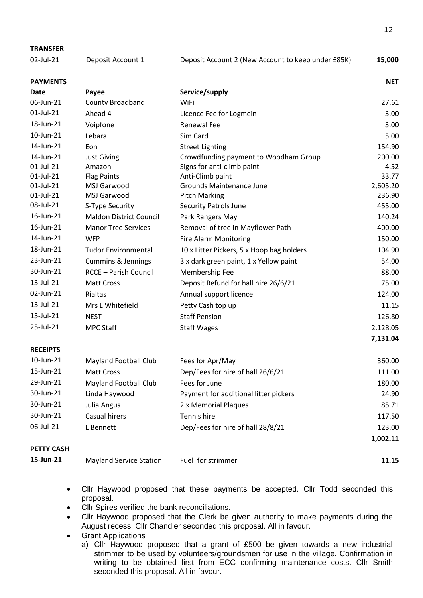| <b>TRANSFER</b>   |                                |                                                    |            |
|-------------------|--------------------------------|----------------------------------------------------|------------|
| 02-Jul-21         | Deposit Account 1              | Deposit Account 2 (New Account to keep under £85K) | 15,000     |
| <b>PAYMENTS</b>   |                                |                                                    | <b>NET</b> |
| Date              | Payee                          | Service/supply                                     |            |
| 06-Jun-21         | <b>County Broadband</b>        | WiFi                                               | 27.61      |
| 01-Jul-21         | Ahead 4                        | Licence Fee for Logmein                            | 3.00       |
| 18-Jun-21         | Voipfone                       | <b>Renewal Fee</b>                                 | 3.00       |
| 10-Jun-21         | Lebara                         | Sim Card                                           | 5.00       |
| 14-Jun-21         | Eon                            | <b>Street Lighting</b>                             | 154.90     |
| 14-Jun-21         | <b>Just Giving</b>             | Crowdfunding payment to Woodham Group              | 200.00     |
| 01-Jul-21         | Amazon                         | Signs for anti-climb paint                         | 4.52       |
| 01-Jul-21         | <b>Flag Paints</b>             | Anti-Climb paint                                   | 33.77      |
| 01-Jul-21         | MSJ Garwood                    | <b>Grounds Maintenance June</b>                    | 2,605.20   |
| 01-Jul-21         | MSJ Garwood                    | <b>Pitch Marking</b>                               | 236.90     |
| 08-Jul-21         | S-Type Security                | <b>Security Patrols June</b>                       | 455.00     |
| 16-Jun-21         | <b>Maldon District Council</b> | Park Rangers May                                   | 140.24     |
| 16-Jun-21         | <b>Manor Tree Services</b>     | Removal of tree in Mayflower Path                  | 400.00     |
| 14-Jun-21         | <b>WFP</b>                     | Fire Alarm Monitoring                              | 150.00     |
| 18-Jun-21         | <b>Tudor Environmental</b>     | 10 x Litter Pickers, 5 x Hoop bag holders          | 104.90     |
| 23-Jun-21         | <b>Cummins &amp; Jennings</b>  | 3 x dark green paint, 1 x Yellow paint             | 54.00      |
| 30-Jun-21         | <b>RCCE - Parish Council</b>   | Membership Fee                                     | 88.00      |
| 13-Jul-21         | <b>Matt Cross</b>              | Deposit Refund for hall hire 26/6/21               | 75.00      |
| 02-Jun-21         | Rialtas                        | Annual support licence                             | 124.00     |
| 13-Jul-21         | Mrs L Whitefield               | Petty Cash top up                                  | 11.15      |
| 15-Jul-21         | <b>NEST</b>                    | <b>Staff Pension</b>                               | 126.80     |
| 25-Jul-21         | <b>MPC Staff</b>               | <b>Staff Wages</b>                                 | 2,128.05   |
|                   |                                |                                                    | 7,131.04   |
| <b>RECEIPTS</b>   |                                |                                                    |            |
| 10-Jun-21         | <b>Mayland Football Club</b>   | Fees for Apr/May                                   | 360.00     |
| 15-Jun-21         | Matt Cross                     | Dep/Fees for hire of hall 26/6/21                  | 111.00     |
| 29-Jun-21         | <b>Mayland Football Club</b>   | Fees for June                                      | 180.00     |
| 30-Jun-21         | Linda Haywood                  | Payment for additional litter pickers              | 24.90      |
| 30-Jun-21         | Julia Angus                    | 2 x Memorial Plaques                               | 85.71      |
| 30-Jun-21         | Casual hirers                  | Tennis hire                                        | 117.50     |
| 06-Jul-21         | L Bennett                      | Dep/Fees for hire of hall 28/8/21                  | 123.00     |
|                   |                                |                                                    | 1,002.11   |
| <b>PETTY CASH</b> |                                |                                                    |            |

- **15-Jun-21** Mayland Service Station Fuel for strimmer **11.15**
	- Cllr Haywood proposed that these payments be accepted. Cllr Todd seconded this proposal.
	- Cllr Spires verified the bank reconciliations.
	- Cllr Haywood proposed that the Clerk be given authority to make payments during the August recess. Cllr Chandler seconded this proposal. All in favour.
	- **•** Grant Applications
		- a) Cllr Haywood proposed that a grant of £500 be given towards a new industrial strimmer to be used by volunteers/groundsmen for use in the village. Confirmation in writing to be obtained first from ECC confirming maintenance costs. Cllr Smith seconded this proposal. All in favour.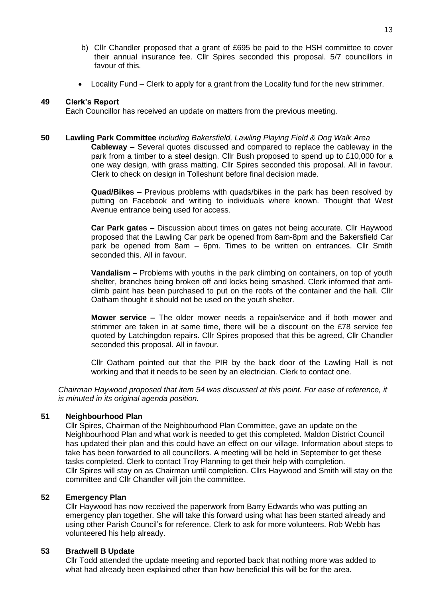- b) Cllr Chandler proposed that a grant of £695 be paid to the HSH committee to cover their annual insurance fee. Cllr Spires seconded this proposal. 5/7 councillors in favour of this.
- Locality Fund Clerk to apply for a grant from the Locality fund for the new strimmer.

## **49 Clerk's Report**

Each Councillor has received an update on matters from the previous meeting.

## **50 Lawling Park Committee** *including Bakersfield, Lawling Playing Field & Dog Walk Area*

**Cableway –** Several quotes discussed and compared to replace the cableway in the park from a timber to a steel design. Cllr Bush proposed to spend up to £10,000 for a one way design, with grass matting. Cllr Spires seconded this proposal. All in favour. Clerk to check on design in Tolleshunt before final decision made.

**Quad/Bikes –** Previous problems with quads/bikes in the park has been resolved by putting on Facebook and writing to individuals where known. Thought that West Avenue entrance being used for access.

**Car Park gates –** Discussion about times on gates not being accurate. Cllr Haywood proposed that the Lawling Car park be opened from 8am-8pm and the Bakersfield Car park be opened from 8am – 6pm. Times to be written on entrances. Cllr Smith seconded this. All in favour.

**Vandalism –** Problems with youths in the park climbing on containers, on top of youth shelter, branches being broken off and locks being smashed. Clerk informed that anticlimb paint has been purchased to put on the roofs of the container and the hall. Cllr Oatham thought it should not be used on the youth shelter.

**Mower service –** The older mower needs a repair/service and if both mower and strimmer are taken in at same time, there will be a discount on the £78 service fee quoted by Latchingdon repairs. Cllr Spires proposed that this be agreed, Cllr Chandler seconded this proposal. All in favour.

Cllr Oatham pointed out that the PIR by the back door of the Lawling Hall is not working and that it needs to be seen by an electrician. Clerk to contact one.

*Chairman Haywood proposed that item 54 was discussed at this point. For ease of reference, it is minuted in its original agenda position.*

### **51 Neighbourhood Plan**

Cllr Spires, Chairman of the Neighbourhood Plan Committee, gave an update on the Neighbourhood Plan and what work is needed to get this completed. Maldon District Council has updated their plan and this could have an effect on our village. Information about steps to take has been forwarded to all councillors. A meeting will be held in September to get these tasks completed. Clerk to contact Troy Planning to get their help with completion. Cllr Spires will stay on as Chairman until completion. Cllrs Haywood and Smith will stay on the committee and Cllr Chandler will join the committee.

### **52 Emergency Plan**

Cllr Haywood has now received the paperwork from Barry Edwards who was putting an emergency plan together. She will take this forward using what has been started already and using other Parish Council's for reference. Clerk to ask for more volunteers. Rob Webb has volunteered his help already.

## **53 Bradwell B Update**

Cllr Todd attended the update meeting and reported back that nothing more was added to what had already been explained other than how beneficial this will be for the area.